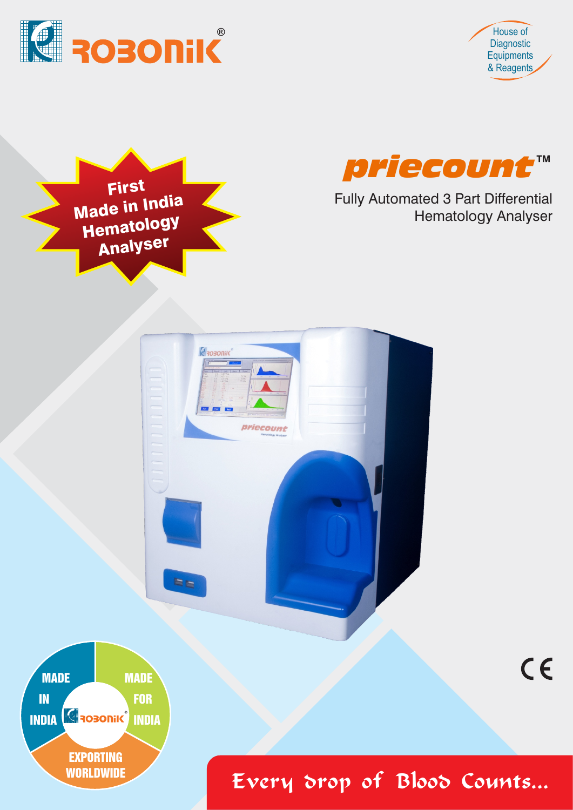



 $C \in$ 





Fully Automated 3 Part Differential Hematology Analyser





Every drop of Blood Counts...